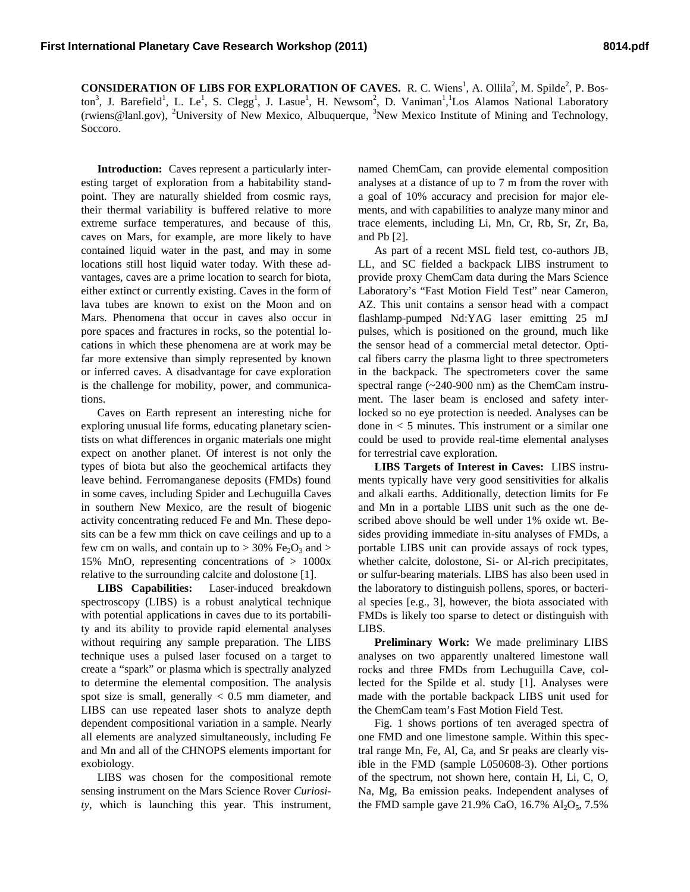**CONSIDERATION OF LIBS FOR EXPLORATION OF CAVES.** R. C. Wiens<sup>1</sup>, A. Ollila<sup>2</sup>, M. Spilde<sup>2</sup>, P. Boston<sup>3</sup>, J. Barefield<sup>1</sup>, L. Le<sup>1</sup>, S. Clegg<sup>1</sup>, J. Lasue<sup>1</sup>, H. Newsom<sup>2</sup>, D. Vaniman<sup>1</sup>,<sup>1</sup>Los Alamos National Laboratory (rwiens@lanl.gov), <sup>2</sup>University of New Mexico, Albuquerque, <sup>3</sup>New Mexico Institute of Mining and Technology, Soccoro.

**Introduction:** Caves represent a particularly interesting target of exploration from a habitability standpoint. They are naturally shielded from cosmic rays, their thermal variability is buffered relative to more extreme surface temperatures, and because of this, caves on Mars, for example, are more likely to have contained liquid water in the past, and may in some locations still host liquid water today. With these advantages, caves are a prime location to search for biota, either extinct or currently existing. Caves in the form of lava tubes are known to exist on the Moon and on Mars. Phenomena that occur in caves also occur in pore spaces and fractures in rocks, so the potential locations in which these phenomena are at work may be far more extensive than simply represented by known or inferred caves. A disadvantage for cave exploration is the challenge for mobility, power, and communications.

Caves on Earth represent an interesting niche for exploring unusual life forms, educating planetary scientists on what differences in organic materials one might expect on another planet. Of interest is not only the types of biota but also the geochemical artifacts they leave behind. Ferromanganese deposits (FMDs) found in some caves, including Spider and Lechuguilla Caves in southern New Mexico, are the result of biogenic activity concentrating reduced Fe and Mn. These deposits can be a few mm thick on cave ceilings and up to a few cm on walls, and contain up to  $> 30\%$  Fe<sub>2</sub>O<sub>3</sub> and  $>$ 15% MnO, representing concentrations of  $> 1000x$ relative to the surrounding calcite and dolostone [1].

**LIBS Capabilities:** Laser-induced breakdown spectroscopy (LIBS) is a robust analytical technique with potential applications in caves due to its portability and its ability to provide rapid elemental analyses without requiring any sample preparation. The LIBS technique uses a pulsed laser focused on a target to create a "spark" or plasma which is spectrally analyzed to determine the elemental composition. The analysis spot size is small, generally  $< 0.5$  mm diameter, and LIBS can use repeated laser shots to analyze depth dependent compositional variation in a sample. Nearly all elements are analyzed simultaneously, including Fe and Mn and all of the CHNOPS elements important for exobiology.

LIBS was chosen for the compositional remote sensing instrument on the Mars Science Rover *Curiosity*, which is launching this year. This instrument,

named ChemCam, can provide elemental composition analyses at a distance of up to 7 m from the rover with a goal of 10% accuracy and precision for major elements, and with capabilities to analyze many minor and trace elements, including Li, Mn, Cr, Rb, Sr, Zr, Ba, and Pb [2].

As part of a recent MSL field test, co-authors JB, LL, and SC fielded a backpack LIBS instrument to provide proxy ChemCam data during the Mars Science Laboratory's "Fast Motion Field Test" near Cameron, AZ. This unit contains a sensor head with a compact flashlamp-pumped Nd:YAG laser emitting 25 mJ pulses, which is positioned on the ground, much like the sensor head of a commercial metal detector. Optical fibers carry the plasma light to three spectrometers in the backpack. The spectrometers cover the same spectral range (~240-900 nm) as the ChemCam instrument. The laser beam is enclosed and safety interlocked so no eye protection is needed. Analyses can be done in < 5 minutes. This instrument or a similar one could be used to provide real-time elemental analyses for terrestrial cave exploration.

**LIBS Targets of Interest in Caves:** LIBS instruments typically have very good sensitivities for alkalis and alkali earths. Additionally, detection limits for Fe and Mn in a portable LIBS unit such as the one described above should be well under 1% oxide wt. Besides providing immediate in-situ analyses of FMDs, a portable LIBS unit can provide assays of rock types, whether calcite, dolostone, Si- or Al-rich precipitates, or sulfur-bearing materials. LIBS has also been used in the laboratory to distinguish pollens, spores, or bacterial species [e.g., 3], however, the biota associated with FMDs is likely too sparse to detect or distinguish with LIBS.

**Preliminary Work:** We made preliminary LIBS analyses on two apparently unaltered limestone wall rocks and three FMDs from Lechuguilla Cave, collected for the Spilde et al. study [1]. Analyses were made with the portable backpack LIBS unit used for the ChemCam team's Fast Motion Field Test.

Fig. 1 shows portions of ten averaged spectra of one FMD and one limestone sample. Within this spectral range Mn, Fe, Al, Ca, and Sr peaks are clearly visible in the FMD (sample L050608-3). Other portions of the spectrum, not shown here, contain H, Li, C, O, Na, Mg, Ba emission peaks. Independent analyses of the FMD sample gave 21.9% CaO, 16.7%  $Al_2O_5$ , 7.5%